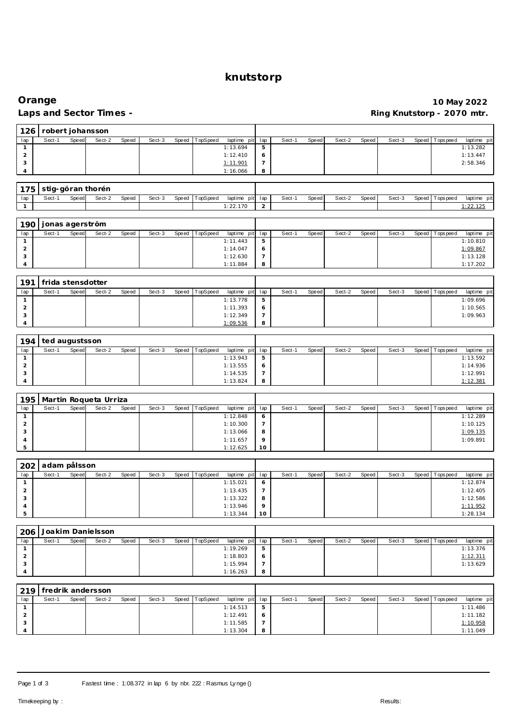#### **knutstorp**

#### **Orange 10 May 2022** Ring Knutstorp - 2070 mtr.

| 126                   | robert johansson  |       |                   |       |        |       |          |             |                |        |       |        |       |        |       |                 |             |
|-----------------------|-------------------|-------|-------------------|-------|--------|-------|----------|-------------|----------------|--------|-------|--------|-------|--------|-------|-----------------|-------------|
| lap                   | Sect-1            | Speed | Sect-2            | Speed | Sect-3 | Speed | TopSpeed | laptime pit | lap            | Sect-1 | Speed | Sect-2 | Speed | Sect-3 | Speed | Tops peed       | laptime pit |
| $\mathbf{1}$          |                   |       |                   |       |        |       |          | 1:13.694    | 5              |        |       |        |       |        |       |                 | 1:13.282    |
| $\overline{2}$        |                   |       |                   |       |        |       |          | 1:12.410    | 6              |        |       |        |       |        |       |                 | 1:13.447    |
| 3                     |                   |       |                   |       |        |       |          | 1:11.901    | $\overline{7}$ |        |       |        |       |        |       |                 | 2:58.346    |
| $\boldsymbol{\Delta}$ |                   |       |                   |       |        |       |          | 1:16.066    | 8              |        |       |        |       |        |       |                 |             |
|                       |                   |       |                   |       |        |       |          |             |                |        |       |        |       |        |       |                 |             |
| 175                   |                   |       | stig-göran thorén |       |        |       |          |             |                |        |       |        |       |        |       |                 |             |
| lap                   | Sect-1            | Speed | Sect-2            | Speed | Sect-3 | Speed | TopSpeed | laptime pit | lap            | Sect-1 | Speed | Sect-2 | Speed | Sect-3 | Speed | Tops peed       | laptime pit |
| $\overline{1}$        |                   |       |                   |       |        |       |          | 1:22.170    | 2              |        |       |        |       |        |       |                 | 1:22.125    |
|                       |                   |       |                   |       |        |       |          |             |                |        |       |        |       |        |       |                 |             |
| 190                   | jonas agerström   |       |                   |       |        |       |          |             |                |        |       |        |       |        |       |                 |             |
| lap                   | Sect-1            | Speed | Sect-2            | Speed | Sect-3 | Speed | TopSpeed | laptime pit | lap            | Sect-1 | Speed | Sect-2 | Speed | Sect-3 | Speed | Tops peed       | laptime pit |
| 1                     |                   |       |                   |       |        |       |          | 1:11.443    | 5              |        |       |        |       |        |       |                 | 1:10.810    |
| $\overline{2}$        |                   |       |                   |       |        |       |          | 1:14.047    | 6              |        |       |        |       |        |       |                 | 1:09.867    |
| 3                     |                   |       |                   |       |        |       |          | 1:12.630    | $\overline{7}$ |        |       |        |       |        |       |                 | 1:13.128    |
| $\Delta$              |                   |       |                   |       |        |       |          | 1:11.884    | 8              |        |       |        |       |        |       |                 | 1:17.202    |
|                       |                   |       |                   |       |        |       |          |             |                |        |       |        |       |        |       |                 |             |
| 191                   | frida stensdotter |       |                   |       |        |       |          |             |                |        |       |        |       |        |       |                 |             |
| lap                   | Sect-1            | Speed | Sect-2            | Speed | Sect-3 | Speed | TopSpeed | laptime pit | lap            | Sect-1 | Speed | Sect-2 | Speed | Sect-3 | Speed | Tops pee d      | laptime pit |
| $\mathbf{1}$          |                   |       |                   |       |        |       |          | 1:13.778    | 5              |        |       |        |       |        |       |                 | 1:09.696    |
| $\overline{2}$        |                   |       |                   |       |        |       |          | 1:11.393    | 6              |        |       |        |       |        |       |                 | 1:10.565    |
| 3                     |                   |       |                   |       |        |       |          | 1:12.349    | $\overline{7}$ |        |       |        |       |        |       |                 | 1:09.963    |
|                       |                   |       |                   |       |        |       |          | 1:09.536    | 8              |        |       |        |       |        |       |                 |             |
|                       |                   |       |                   |       |        |       |          |             |                |        |       |        |       |        |       |                 |             |
| 194                   | ted augustsson    |       |                   |       |        |       |          |             |                |        |       |        |       |        |       |                 |             |
| lap                   | Sect-1            | Speed | Sect-2            | Speed | Sect-3 | Speed | TopSpeed | laptime pit | lap            | Sect-1 | Speed | Sect-2 | Speed | Sect-3 | Speed | <b>Topspeed</b> | laptime pit |
| $\mathbf{1}$          |                   |       |                   |       |        |       |          | 1:13.943    | 5              |        |       |        |       |        |       |                 | 1:13.592    |
| $\overline{2}$        |                   |       |                   |       |        |       |          | 1:13.555    | 6              |        |       |        |       |        |       |                 | 1:14.936    |
| 3                     |                   |       |                   |       |        |       |          | 1:14.535    | $\overline{7}$ |        |       |        |       |        |       |                 | 1:12.991    |
| $\overline{A}$        |                   |       |                   |       |        |       |          | 1:13.824    | 8              |        |       |        |       |        |       |                 | 1:12.381    |

|     | Martin Roqueta Urriza<br>195 |       |        |       |        |  |                |                 |          |        |       |        |       |        |                 |             |
|-----|------------------------------|-------|--------|-------|--------|--|----------------|-----------------|----------|--------|-------|--------|-------|--------|-----------------|-------------|
| lap | Sect-1                       | Speed | Sect-2 | Speed | Sect-3 |  | Speed TopSpeed | laptime pit lap |          | Sect-1 | Speed | Sect-2 | Speed | Sect-3 | Speed Tops peed | laptime pit |
|     |                              |       |        |       |        |  |                | 1:12.848        | $\circ$  |        |       |        |       |        |                 | 1:12.289    |
| ∠   |                              |       |        |       |        |  |                | 1:10.300        |          |        |       |        |       |        |                 | 1:10.125    |
|     |                              |       |        |       |        |  |                | 1:13.066        | 8        |        |       |        |       |        |                 | 1:09.135    |
|     |                              |       |        |       |        |  |                | 1:11.657        | $\Omega$ |        |       |        |       |        |                 | 1:09.891    |
|     |                              |       |        |       |        |  |                | 1:12.625        | 10       |        |       |        |       |        |                 |             |

|     | 202 adam pålsson |       |        |       |        |       |          |                 |         |        |       |        |       |        |                |             |
|-----|------------------|-------|--------|-------|--------|-------|----------|-----------------|---------|--------|-------|--------|-------|--------|----------------|-------------|
| lap | Sect-1           | Speed | Sect-2 | Speed | Sect-3 | Speed | TopSpeed | laptime pit lap |         | Sect-1 | Speed | Sect-2 | Speed | Sect-3 | Speed Topspeed | laptime pit |
|     |                  |       |        |       |        |       |          | 1:15.021        | $\circ$ |        |       |        |       |        |                | 1:12.874    |
|     |                  |       |        |       |        |       |          | 1:13.435        |         |        |       |        |       |        |                | 1:12.405    |
|     |                  |       |        |       |        |       |          | 1:13.322        | 8       |        |       |        |       |        |                | 1:12.586    |
|     |                  |       |        |       |        |       |          | 1:13.946        | $\circ$ |        |       |        |       |        |                | 1:11.952    |
|     |                  |       |        |       |        |       |          | 1:13.344        | 10      |        |       |        |       |        |                | 1:28.134    |

| 206 | Joakim Danielsson |       |        |       |        |       |          |                 |   |        |       |        |       |        |       |           |             |
|-----|-------------------|-------|--------|-------|--------|-------|----------|-----------------|---|--------|-------|--------|-------|--------|-------|-----------|-------------|
| lap | Sect-1            | Speed | Sect-2 | Speed | Sect-3 | Speed | TopSpeed | laptime pit lap |   | Sect-1 | Speed | Sect-2 | Speed | Sect-3 | Speed | Tops peed | laptime pit |
|     |                   |       |        |       |        |       |          | 1:19.269        | 5 |        |       |        |       |        |       |           | 1:13.376    |
|     |                   |       |        |       |        |       |          | 1:18.803        | O |        |       |        |       |        |       |           | 1:12.311    |
|     |                   |       |        |       |        |       |          | 1:15.994        |   |        |       |        |       |        |       |           | 1:13.629    |
|     |                   |       |        |       |        |       |          | 1:16.263        | 8 |        |       |        |       |        |       |           |             |

|     | 1219   fredrik andersson |       |        |       |        |  |                |                 |         |       |       |        |       |        |                 |             |
|-----|--------------------------|-------|--------|-------|--------|--|----------------|-----------------|---------|-------|-------|--------|-------|--------|-----------------|-------------|
| lap | Sect-1                   | Speed | Sect-2 | Speed | Sect-3 |  | Speed TopSpeed | laptime pit lap |         | Sect- | Speed | Sect-2 | Speed | Sect-3 | Speed Tops peed | laptime pit |
|     |                          |       |        |       |        |  |                | 1:14.513        | 5       |       |       |        |       |        |                 | 1:11.486    |
|     |                          |       |        |       |        |  |                | 1:12.491        | $\circ$ |       |       |        |       |        |                 | 1:11.182    |
|     |                          |       |        |       |        |  |                | 1:11.585        |         |       |       |        |       |        |                 | 1:10.958    |
|     |                          |       |        |       |        |  |                | 1:13.304        | 8       |       |       |        |       |        |                 | 1:11.049    |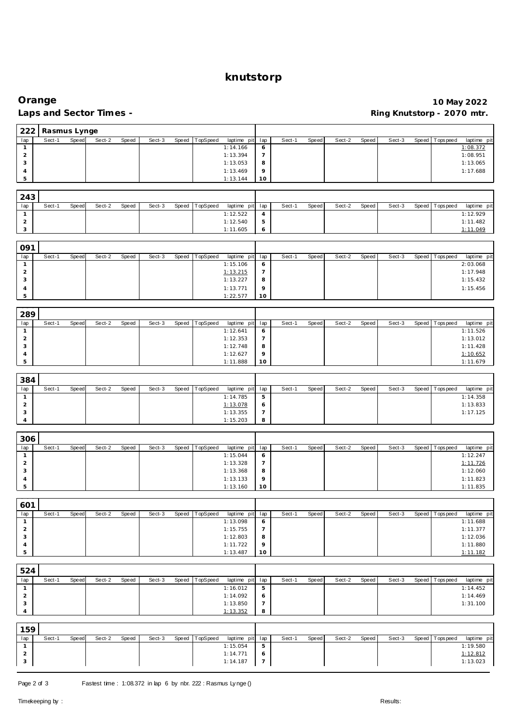### **knutstorp**

# **Orange** 10 May 2022<br>
Laps and Sector Times - **10 May 2022**<br>
Ring Knutstorp - 2070 mtr.

## **Laps and Sector Times - Ring Knutstorp - 2070 mtr.**

| 222                            | Rasmus Lynge |       |        |       |        |       |          |                                                              |                       |        |       |        |       |        |       |                |                         |
|--------------------------------|--------------|-------|--------|-------|--------|-------|----------|--------------------------------------------------------------|-----------------------|--------|-------|--------|-------|--------|-------|----------------|-------------------------|
| lap                            | Sect-1       | Speed | Sect-2 | Speed | Sect-3 | Speed | TopSpeed | laptime pit                                                  | lap                   | Sect-1 | Speed | Sect-2 | Speed | Sect-3 | Speed | Tops pee d     | laptime pit             |
| $\mathbf{1}$                   |              |       |        |       |        |       |          | 1:14.166                                                     | 6                     |        |       |        |       |        |       |                | 1:08.372                |
| $\sqrt{2}$                     |              |       |        |       |        |       |          | 1:13.394                                                     | $\overline{7}$        |        |       |        |       |        |       |                | 1:08.951                |
| 3                              |              |       |        |       |        |       |          | 1:13.053                                                     | 8                     |        |       |        |       |        |       |                | 1:13.065                |
| 4                              |              |       |        |       |        |       |          | 1:13.469                                                     | 9                     |        |       |        |       |        |       |                | 1:17.688                |
| 5                              |              |       |        |       |        |       |          | 1:13.144                                                     | 10                    |        |       |        |       |        |       |                |                         |
|                                |              |       |        |       |        |       |          |                                                              |                       |        |       |        |       |        |       |                |                         |
| 243                            |              |       |        |       |        |       |          |                                                              |                       |        |       |        |       |        |       |                |                         |
| lap<br>$\mathbf{1}$            | Sect-1       | Speed | Sect-2 | Speed | Sect-3 | Speed | TopSpeed | laptime pit<br>1:12.522                                      | lap<br>$\overline{4}$ | Sect-1 | Speed | Sect-2 | Speed | Sect-3 | Speed | Topspeed       | laptime pit<br>1:12.929 |
| $\mathbf 2$                    |              |       |        |       |        |       |          | 1:12.540                                                     | $\mathbf 5$           |        |       |        |       |        |       |                | 1:11.482                |
| 3                              |              |       |        |       |        |       |          | 1:11.605                                                     | 6                     |        |       |        |       |        |       |                | 1:11.049                |
|                                |              |       |        |       |        |       |          |                                                              |                       |        |       |        |       |        |       |                |                         |
| 091                            |              |       |        |       |        |       |          |                                                              |                       |        |       |        |       |        |       |                |                         |
| lap                            | Sect-1       | Speed | Sect-2 | Speed | Sect-3 | Speed | TopSpeed | laptime pit                                                  | lap                   | Sect-1 | Speed | Sect-2 | Speed | Sect-3 | Speed | Tops pee d     | laptime pit             |
| $\mathbf{1}$                   |              |       |        |       |        |       |          | 1:15.106                                                     | 6                     |        |       |        |       |        |       |                | 2:03.068                |
| $\overline{a}$                 |              |       |        |       |        |       |          | 1:13.215                                                     | $\overline{7}$        |        |       |        |       |        |       |                | 1:17.948                |
| 3                              |              |       |        |       |        |       |          | 1:13.227                                                     | 8                     |        |       |        |       |        |       |                | 1:15.432                |
| 4<br>5                         |              |       |        |       |        |       |          | 1:13.771<br>1:22.577                                         | 9<br>10               |        |       |        |       |        |       |                | 1:15.456                |
|                                |              |       |        |       |        |       |          |                                                              |                       |        |       |        |       |        |       |                |                         |
| 289                            |              |       |        |       |        |       |          |                                                              |                       |        |       |        |       |        |       |                |                         |
| lap                            | Sect-1       | Speed | Sect-2 | Speed | Sect-3 | Speed | TopSpeed | laptime pit                                                  | lap                   | Sect-1 | Speed | Sect-2 | Speed | Sect-3 | Speed | Tops peed      | laptime pit             |
| $\mathbf{1}$                   |              |       |        |       |        |       |          | 1:12.641                                                     | 6                     |        |       |        |       |        |       |                | 1:11.526                |
| $\overline{a}$                 |              |       |        |       |        |       |          | 1:12.353                                                     | $\overline{7}$        |        |       |        |       |        |       |                | 1:13.012                |
| 3                              |              |       |        |       |        |       |          | 1:12.748                                                     | 8                     |        |       |        |       |        |       |                | 1:11.428                |
| 4                              |              |       |        |       |        |       |          | 1:12.627                                                     | 9                     |        |       |        |       |        |       |                | 1:10.652                |
| 5                              |              |       |        |       |        |       |          | 1:11.888                                                     | 10                    |        |       |        |       |        |       |                | 1:11.679                |
|                                |              |       |        |       |        |       |          |                                                              |                       |        |       |        |       |        |       |                |                         |
| 384                            |              |       |        |       |        |       |          |                                                              |                       |        |       |        |       |        |       |                |                         |
| lap                            | Sect-1       | Speed | Sect-2 | Speed | Sect-3 | Speed | TopSpeed | laptime pit                                                  | lap                   | Sect-1 | Speed | Sect-2 | Speed | Sect-3 |       | Speed Topspeed | laptime pit             |
| $\mathbf{1}$<br>$\overline{2}$ |              |       |        |       |        |       |          | 1:14.785<br>1:13.078                                         | $\mathbf 5$           |        |       |        |       |        |       |                | 1:14.358<br>1:13.833    |
| 3                              |              |       |        |       |        |       |          | 1:13.355                                                     | 6<br>$\overline{7}$   |        |       |        |       |        |       |                | 1:17.125                |
| 4                              |              |       |        |       |        |       |          | 1:15.203                                                     | 8                     |        |       |        |       |        |       |                |                         |
|                                |              |       |        |       |        |       |          |                                                              |                       |        |       |        |       |        |       |                |                         |
| 306                            |              |       |        |       |        |       |          |                                                              |                       |        |       |        |       |        |       |                |                         |
| lap                            | Sect-1       | Speed | Sect-2 | Speed | Sect-3 | Speed | TopSpeed | laptime pit                                                  | lap                   | Sect-1 | Speed | Sect-2 | Speed | Sect-3 | Speed | Tops pee d     | laptime pit             |
| $\mathbf{1}$                   |              |       |        |       |        |       |          | 1:15.044                                                     | 6                     |        |       |        |       |        |       |                | 1:12.247                |
| $\overline{a}$                 |              |       |        |       |        |       |          | 1:13.328                                                     | $\overline{7}$        |        |       |        |       |        |       |                | 1:11.726                |
| 3                              |              |       |        |       |        |       |          | 1:13.368                                                     | 8                     |        |       |        |       |        |       |                | 1:12.060                |
| 4<br>5                         |              |       |        |       |        |       |          | 1:13.133<br>1:13.160                                         | 9<br>10               |        |       |        |       |        |       |                | 1:11.823<br>1:11.835    |
|                                |              |       |        |       |        |       |          |                                                              |                       |        |       |        |       |        |       |                |                         |
| 601                            |              |       |        |       |        |       |          |                                                              |                       |        |       |        |       |        |       |                |                         |
| lap                            | Sect-1       | Speed | Sect-2 | Speed | Sect-3 | Speed | TopSpeed | laptime pit                                                  | lap                   | Sect-1 | Speed | Sect-2 | Speed | Sect-3 | Speed | Tops pee d     | laptime pit             |
| $\mathbf{1}$                   |              |       |        |       |        |       |          | 1:13.098                                                     | 6                     |        |       |        |       |        |       |                | 1:11.688                |
| $\overline{a}$                 |              |       |        |       |        |       |          | 1:15.755                                                     | $\overline{7}$        |        |       |        |       |        |       |                | 1:11.377                |
| 3                              |              |       |        |       |        |       |          | 1:12.803                                                     | 8                     |        |       |        |       |        |       |                | 1:12.036                |
| 4                              |              |       |        |       |        |       |          | 1:11.722                                                     | 9                     |        |       |        |       |        |       |                | 1:11.880                |
| 5                              |              |       |        |       |        |       |          | 1:13.487                                                     | 10                    |        |       |        |       |        |       |                | 1:11.182                |
| 524                            |              |       |        |       |        |       |          |                                                              |                       |        |       |        |       |        |       |                |                         |
| lap                            | Sect-1       | Speed | Sect-2 | Speed | Sect-3 | Speed | TopSpeed | laptime pit                                                  | lap                   | Sect-1 | Speed | Sect-2 | Speed | Sect-3 | Speed | Tops pee d     | laptime pit             |
| $\mathbf{1}$                   |              |       |        |       |        |       |          | 1:16.012                                                     | $\mathbf 5$           |        |       |        |       |        |       |                | 1:14.452                |
| $\sqrt{2}$                     |              |       |        |       |        |       |          | 1:14.092                                                     | 6                     |        |       |        |       |        |       |                | 1:14.469                |
| 3                              |              |       |        |       |        |       |          | 1:13.850                                                     | $\overline{7}$        |        |       |        |       |        |       |                | 1:31.100                |
| 4                              |              |       |        |       |        |       |          | 1:13.352                                                     | 8                     |        |       |        |       |        |       |                |                         |
|                                |              |       |        |       |        |       |          |                                                              |                       |        |       |        |       |        |       |                |                         |
| 159                            |              |       |        |       |        |       |          |                                                              |                       |        |       |        |       |        |       |                |                         |
| lap                            | Sect-1       | Speed | Sect-2 | Speed | Sect-3 | Speed | TopSpeed | laptime pit                                                  | lap                   | Sect-1 | Speed | Sect-2 | Speed | Sect-3 | Speed | T ops pee d    | laptime pit             |
| $\mathbf{1}$                   |              |       |        |       |        |       |          | 1:15.054                                                     | 5                     |        |       |        |       |        |       |                | 1:19.580                |
| $\overline{a}$<br>3            |              |       |        |       |        |       |          | 1:14.771<br>1:14.187                                         | 6<br>$\overline{7}$   |        |       |        |       |        |       |                | 1:12.812<br>1:13.023    |
|                                |              |       |        |       |        |       |          |                                                              |                       |        |       |        |       |        |       |                |                         |
|                                |              |       |        |       |        |       |          |                                                              |                       |        |       |        |       |        |       |                |                         |
| Page 2 of 3                    |              |       |        |       |        |       |          | Fastest time: 1:08.372 in lap 6 by nbr. 222: Rasmus Lynge () |                       |        |       |        |       |        |       |                |                         |